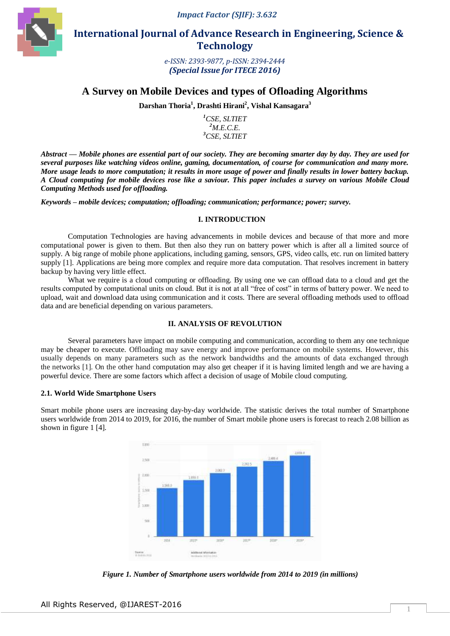*Impact Factor (SJIF): 3.632*



 **International Journal of Advance Research in Engineering, Science & Technology** 

> *e-ISSN: 2393-9877, p-ISSN: 2394-2444 (Special Issue for ITECE 2016)*

# **A Survey on Mobile Devices and types of Ofloading Algorithms**

**Darshan Thoria<sup>1</sup> , Drashti Hirani<sup>2</sup> , Vishal Kansagara<sup>3</sup>**

*<sup>1</sup>CSE, SLTIET <sup>2</sup>M.E.C.E. <sup>3</sup>CSE, SLTIET*

*Abstract* **—** *Mobile phones are essential part of our society. They are becoming smarter day by day. They are used for several purposes like watching videos online, gaming, documentation, of course for communication and many more. More usage leads to more computation; it results in more usage of power and finally results in lower battery backup. A Cloud computing for mobile devices rose like a saviour. This paper includes a survey on various Mobile Cloud Computing Methods used for offloading.*

*Keywords – mobile devices; computation; offloading; communication; performance; power; survey.*

#### **I. INTRODUCTION**

Computation Technologies are having advancements in mobile devices and because of that more and more computational power is given to them. But then also they run on battery power which is after all a limited source of supply. A big range of mobile phone applications, including gaming, sensors, GPS, video calls, etc. run on limited battery supply [1]. Applications are being more complex and require more data computation. That resolves increment in battery backup by having very little effect.

What we require is a cloud computing or offloading. By using one we can offload data to a cloud and get the results computed by computational units on cloud. But it is not at all "free of cost" in terms of battery power. We need to upload, wait and download data using communication and it costs. There are several offloading methods used to offload data and are beneficial depending on various parameters.

## **II. ANALYSIS OF REVOLUTION**

Several parameters have impact on mobile computing and communication, according to them any one technique may be cheaper to execute. Offloading may save energy and improve performance on mobile systems. However, this usually depends on many parameters such as the network bandwidths and the amounts of data exchanged through the networks [1]. On the other hand computation may also get cheaper if it is having limited length and we are having a powerful device. There are some factors which affect a decision of usage of Mobile cloud computing.

#### **2.1. World Wide Smartphone Users**

Smart mobile phone users are increasing day-by-day worldwide. The statistic derives the total number of Smartphone users worldwide from 2014 to 2019, for 2016, the number of Smart mobile phone users is forecast to reach 2.08 billion as shown in figure 1 [4].



*Figure 1. Number of Smartphone users worldwide from 2014 to 2019 (in millions)*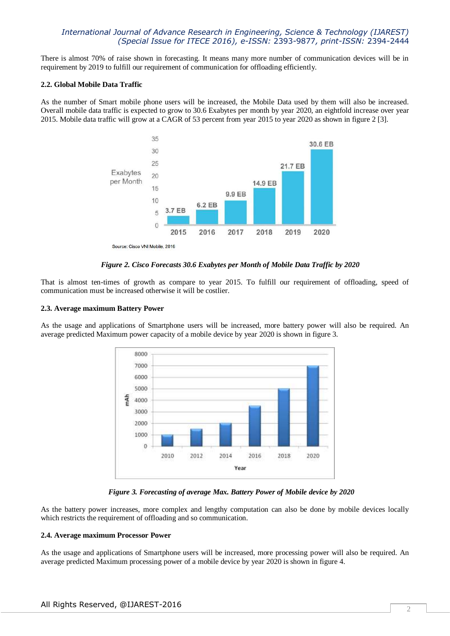# *International Journal of Advance Research in Engineering, Science & Technology (IJAREST) (Special Issue for ITECE 2016), e-ISSN:* 2393-9877*, print-ISSN:* 2394-2444

There is almost 70% of raise shown in forecasting. It means many more number of communication devices will be in requirement by 2019 to fulfill our requirement of communication for offloading efficiently.

#### **2.2. Global Mobile Data Traffic**

As the number of Smart mobile phone users will be increased, the Mobile Data used by them will also be increased. Overall mobile data traffic is expected to grow to 30.6 Exabytes per month by year 2020, an eightfold increase over year 2015. Mobile data traffic will grow at a CAGR of 53 percent from year 2015 to year 2020 as shown in figure 2 [3].



*Figure 2. Cisco Forecasts 30.6 Exabytes per Month of Mobile Data Traffic by 2020*

That is almost ten-times of growth as compare to year 2015. To fulfill our requirement of offloading, speed of communication must be increased otherwise it will be costlier.

### **2.3. Average maximum Battery Power**

As the usage and applications of Smartphone users will be increased, more battery power will also be required. An average predicted Maximum power capacity of a mobile device by year 2020 is shown in figure 3.



*Figure 3. Forecasting of average Max. Battery Power of Mobile device by 2020*

As the battery power increases, more complex and lengthy computation can also be done by mobile devices locally which restricts the requirement of offloading and so communication.

#### **2.4. Average maximum Processor Power**

As the usage and applications of Smartphone users will be increased, more processing power will also be required. An average predicted Maximum processing power of a mobile device by year 2020 is shown in figure 4.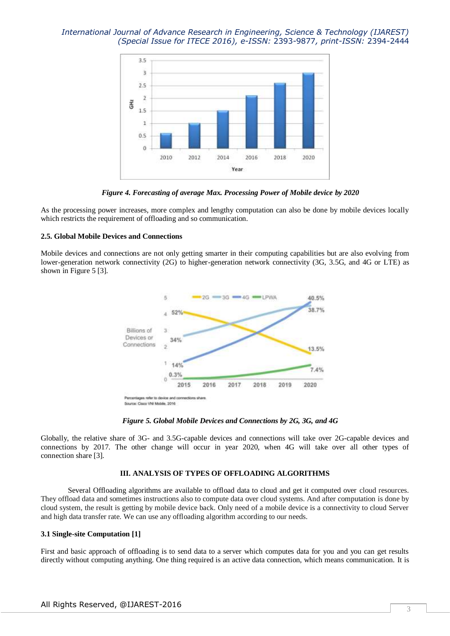# *International Journal of Advance Research in Engineering, Science & Technology (IJAREST) (Special Issue for ITECE 2016), e-ISSN:* 2393-9877*, print-ISSN:* 2394-2444



*Figure 4. Forecasting of average Max. Processing Power of Mobile device by 2020*

As the processing power increases, more complex and lengthy computation can also be done by mobile devices locally which restricts the requirement of offloading and so communication.

## **2.5. Global Mobile Devices and Connections**

Mobile devices and connections are not only getting smarter in their computing capabilities but are also evolving from lower-generation network connectivity (2G) to higher-generation network connectivity (3G, 3.5G, and 4G or LTE) as shown in Figure 5 [3].



*Figure 5. Global Mobile Devices and Connections by 2G, 3G, and 4G*

Globally, the relative share of 3G- and 3.5G-capable devices and connections will take over 2G-capable devices and connections by 2017. The other change will occur in year 2020, when 4G will take over all other types of connection share [3].

## **III. ANALYSIS OF TYPES OF OFFLOADING ALGORITHMS**

Several Offloading algorithms are available to offload data to cloud and get it computed over cloud resources. They offload data and sometimes instructions also to compute data over cloud systems. And after computation is done by cloud system, the result is getting by mobile device back. Only need of a mobile device is a connectivity to cloud Server and high data transfer rate. We can use any offloading algorithm according to our needs.

#### **3.1 Single-site Computation [1]**

First and basic approach of offloading is to send data to a server which computes data for you and you can get results directly without computing anything. One thing required is an active data connection, which means communication. It is